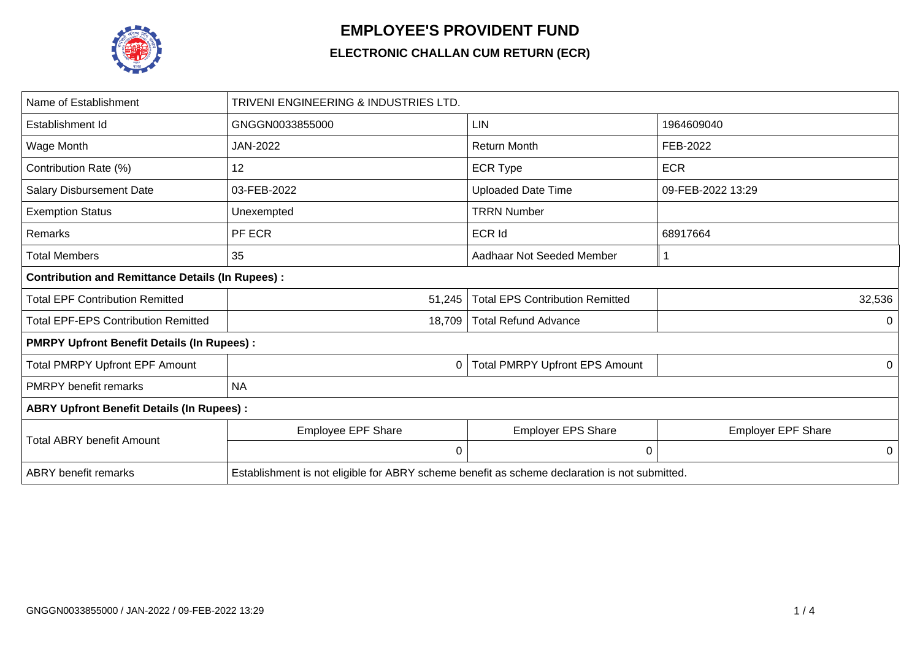

## **EMPLOYEE'S PROVIDENT FUND**

## **ELECTRONIC CHALLAN CUM RETURN (ECR)**

| Name of Establishment                                   | TRIVENI ENGINEERING & INDUSTRIES LTD.                                                         |                                        |                           |  |  |  |  |  |  |  |
|---------------------------------------------------------|-----------------------------------------------------------------------------------------------|----------------------------------------|---------------------------|--|--|--|--|--|--|--|
| Establishment Id                                        | GNGGN0033855000                                                                               | <b>LIN</b>                             | 1964609040                |  |  |  |  |  |  |  |
| Wage Month                                              | JAN-2022                                                                                      | <b>Return Month</b>                    | FEB-2022                  |  |  |  |  |  |  |  |
| Contribution Rate (%)                                   | 12                                                                                            | <b>ECR Type</b>                        | <b>ECR</b>                |  |  |  |  |  |  |  |
| <b>Salary Disbursement Date</b>                         | 03-FEB-2022                                                                                   | <b>Uploaded Date Time</b>              | 09-FEB-2022 13:29         |  |  |  |  |  |  |  |
| <b>Exemption Status</b>                                 | Unexempted                                                                                    | <b>TRRN Number</b>                     |                           |  |  |  |  |  |  |  |
| Remarks                                                 | PF ECR                                                                                        | ECR Id                                 | 68917664                  |  |  |  |  |  |  |  |
| <b>Total Members</b>                                    | 35                                                                                            | Aadhaar Not Seeded Member              |                           |  |  |  |  |  |  |  |
| <b>Contribution and Remittance Details (In Rupees):</b> |                                                                                               |                                        |                           |  |  |  |  |  |  |  |
| <b>Total EPF Contribution Remitted</b>                  | 51,245                                                                                        | <b>Total EPS Contribution Remitted</b> | 32,536                    |  |  |  |  |  |  |  |
| <b>Total EPF-EPS Contribution Remitted</b>              | 18,709                                                                                        | <b>Total Refund Advance</b>            | 0                         |  |  |  |  |  |  |  |
| <b>PMRPY Upfront Benefit Details (In Rupees):</b>       |                                                                                               |                                        |                           |  |  |  |  |  |  |  |
| <b>Total PMRPY Upfront EPF Amount</b>                   | 0                                                                                             | <b>Total PMRPY Upfront EPS Amount</b>  | 0                         |  |  |  |  |  |  |  |
| <b>PMRPY benefit remarks</b>                            | <b>NA</b>                                                                                     |                                        |                           |  |  |  |  |  |  |  |
| <b>ABRY Upfront Benefit Details (In Rupees):</b>        |                                                                                               |                                        |                           |  |  |  |  |  |  |  |
| <b>Total ABRY benefit Amount</b>                        | Employee EPF Share                                                                            | <b>Employer EPS Share</b>              | <b>Employer EPF Share</b> |  |  |  |  |  |  |  |
|                                                         | 0                                                                                             | 0                                      | 0                         |  |  |  |  |  |  |  |
| <b>ABRY</b> benefit remarks                             | Establishment is not eligible for ABRY scheme benefit as scheme declaration is not submitted. |                                        |                           |  |  |  |  |  |  |  |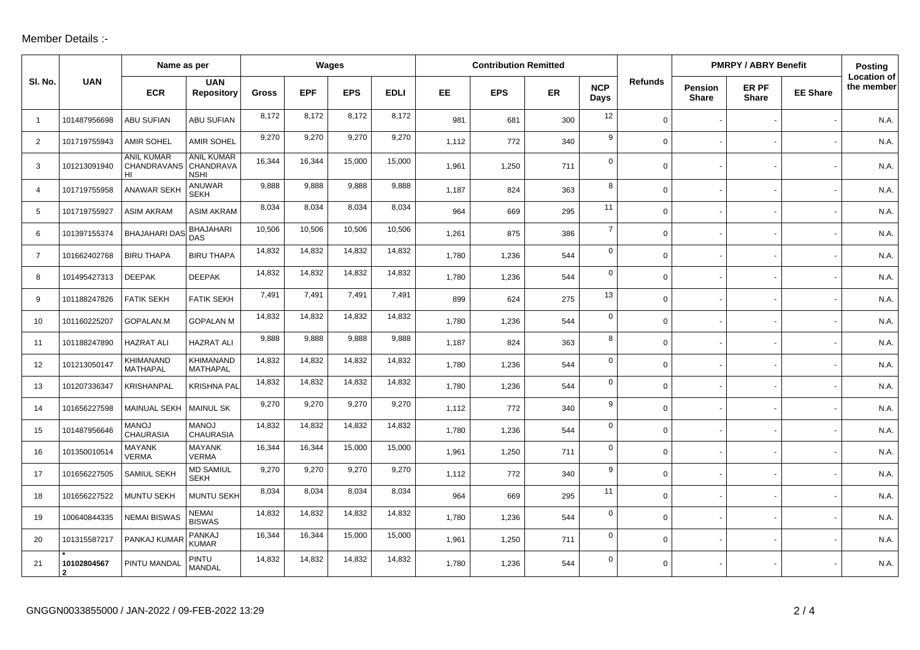## Member Details :-

|                |                  | Name as per                                      |                                     | Wages        |            |            |             | <b>Contribution Remitted</b> |            |     |                    |                | <b>PMRPY / ABRY Benefit</b> |                       |                 | Posting                          |
|----------------|------------------|--------------------------------------------------|-------------------------------------|--------------|------------|------------|-------------|------------------------------|------------|-----|--------------------|----------------|-----------------------------|-----------------------|-----------------|----------------------------------|
| SI. No.        | <b>UAN</b>       | <b>ECR</b>                                       | <b>UAN</b><br><b>Repository</b>     | <b>Gross</b> | <b>EPF</b> | <b>EPS</b> | <b>EDLI</b> | EE.                          | <b>EPS</b> | ER  | <b>NCP</b><br>Days | <b>Refunds</b> | <b>Pension</b><br>Share     | ER PF<br><b>Share</b> | <b>EE Share</b> | <b>Location of</b><br>the member |
| $\overline{1}$ | 101487956698     | <b>ABU SUFIAN</b>                                | <b>ABU SUFIAN</b>                   | 8,172        | 8,172      | 8,172      | 8,172       | 981                          | 681        | 300 | 12                 | $\mathbf 0$    |                             |                       |                 | N.A.                             |
| 2              | 101719755943     | <b>AMIR SOHEL</b>                                | <b>AMIR SOHEL</b>                   | 9,270        | 9,270      | 9,270      | 9,270       | 1,112                        | 772        | 340 | 9                  | $\mathbf 0$    |                             |                       |                 | N.A                              |
| 3              | 101213091940     | <b>ANIL KUMAR</b><br>CHANDRAVANS CHANDRAVA<br>HI | <b>ANIL KUMAR</b><br><b>NSHI</b>    | 16,344       | 16,344     | 15,000     | 15,000      | 1,961                        | 1,250      | 711 | $\mathbf 0$        | $\mathbf 0$    |                             |                       |                 | N.A                              |
| $\overline{4}$ | 101719755958     | ANAWAR SEKH                                      | <b>ANUWAR</b><br><b>SEKH</b>        | 9,888        | 9,888      | 9,888      | 9,888       | 1,187                        | 824        | 363 | 8                  | $\mathbf 0$    |                             |                       |                 | N.A.                             |
| 5              | 101719755927     | <b>ASIM AKRAM</b>                                | <b>ASIM AKRAM</b>                   | 8,034        | 8,034      | 8,034      | 8,034       | 964                          | 669        | 295 | 11                 | $\mathbf 0$    |                             |                       |                 | N.A                              |
| 6              | 101397155374     | <b>BHAJAHARI DAS</b>                             | <b>BHAJAHARI</b><br><b>DAS</b>      | 10,506       | 10,506     | 10,506     | 10,506      | 1,261                        | 875        | 386 | $\overline{7}$     | $\mathbf 0$    |                             |                       |                 | N.A.                             |
| $\overline{7}$ | 101662402768     | <b>BIRU THAPA</b>                                | <b>BIRU THAPA</b>                   | 14,832       | 14,832     | 14,832     | 14,832      | 1,780                        | 1,236      | 544 | $\mathsf{O}$       | $\mathbf 0$    |                             |                       |                 | N.A.                             |
| 8              | 101495427313     | <b>DEEPAK</b>                                    | <b>DEEPAK</b>                       | 14,832       | 14,832     | 14,832     | 14,832      | 1,780                        | 1,236      | 544 | $\mathbf 0$        | $\mathbf 0$    |                             |                       |                 | N.A.                             |
| 9              | 101188247826     | <b>FATIK SEKH</b>                                | <b>FATIK SEKH</b>                   | 7,491        | 7,491      | 7,491      | 7,491       | 899                          | 624        | 275 | 13                 | $\mathbf 0$    |                             |                       |                 | N.A.                             |
| 10             | 101160225207     | GOPALAN.M                                        | <b>GOPALAN M</b>                    | 14,832       | 14,832     | 14,832     | 14,832      | 1,780                        | 1,236      | 544 | $\mathbf 0$        | $\mathbf 0$    |                             |                       |                 | N.A                              |
| 11             | 101188247890     | <b>HAZRAT ALI</b>                                | <b>HAZRAT ALI</b>                   | 9,888        | 9,888      | 9,888      | 9,888       | 1,187                        | 824        | 363 | 8                  | $\mathbf 0$    |                             |                       |                 | N.A.                             |
| 12             | 101213050147     | KHIMANAND<br>MATHAPAL                            | <b>KHIMANAND</b><br><b>MATHAPAL</b> | 14,832       | 14,832     | 14,832     | 14,832      | 1,780                        | 1,236      | 544 | $\mathbf 0$        | $\mathbf 0$    |                             |                       |                 | N.A.                             |
| 13             | 101207336347     | <b>KRISHANPAL</b>                                | <b>KRISHNA PAL</b>                  | 14,832       | 14,832     | 14,832     | 14,832      | 1.780                        | 1,236      | 544 | $\mathbf 0$        | $\Omega$       |                             |                       |                 | N.A.                             |
| 14             | 101656227598     | MAINUAL SEKH                                     | <b>MAINUL SK</b>                    | 9,270        | 9,270      | 9,270      | 9,270       | 1,112                        | 772        | 340 | 9                  | $\mathbf 0$    |                             |                       |                 | N.A.                             |
| 15             | 101487956646     | <b>MANOJ</b><br><b>CHAURASIA</b>                 | <b>MANOJ</b><br><b>CHAURASIA</b>    | 14,832       | 14,832     | 14,832     | 14,832      | 1,780                        | 1,236      | 544 | $\mathbf 0$        | $\mathbf 0$    |                             |                       |                 | N.A.                             |
| 16             | 101350010514     | <b>MAYANK</b><br><b>VERMA</b>                    | <b>MAYANK</b><br><b>VERMA</b>       | 16,344       | 16,344     | 15,000     | 15,000      | 1,961                        | 1,250      | 711 | $\mathbf 0$        | $\mathbf 0$    |                             |                       |                 | N.A.                             |
| 17             | 101656227505     | SAMIUL SEKH                                      | <b>MD SAMIUL</b><br><b>SEKH</b>     | 9,270        | 9,270      | 9,270      | 9,270       | 1,112                        | 772        | 340 | 9                  | $\mathbf 0$    |                             |                       |                 | N.A                              |
| 18             | 101656227522     | MUNTU SEKH                                       | <b>MUNTU SEKH</b>                   | 8,034        | 8,034      | 8,034      | 8,034       | 964                          | 669        | 295 | 11                 | $\mathbf 0$    |                             |                       |                 | N.A.                             |
| 19             | 100640844335     | <b>NEMAI BISWAS</b>                              | <b>NEMAI</b><br><b>BISWAS</b>       | 14,832       | 14,832     | 14,832     | 14,832      | 1,780                        | 1,236      | 544 | $\mathbf 0$        | $\mathbf 0$    |                             |                       |                 | N.A.                             |
| 20             | 101315587217     | PANKAJ KUMAF                                     | <b>PANKAJ</b><br><b>KUMAR</b>       | 16,344       | 16,344     | 15,000     | 15,000      | 1,961                        | 1,250      | 711 | $\mathbf 0$        | $\mathbf 0$    |                             |                       |                 | N.A                              |
| 21             | 10102804567<br>2 | PINTU MANDAI                                     | <b>PINTU</b><br><b>MANDAL</b>       | 14,832       | 14,832     | 14,832     | 14,832      | 1,780                        | 1,236      | 544 | $\mathsf{O}$       | $\mathbf 0$    |                             |                       |                 | N.A.                             |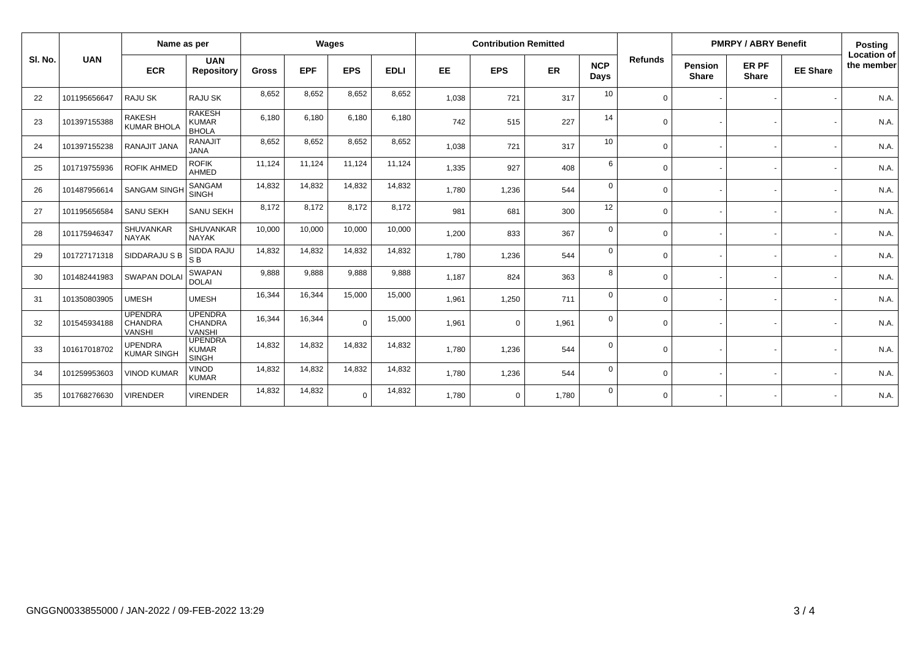|         |              |                                                   | Name as per                                       |              |            | Wages      |             | <b>Contribution Remitted</b> |             |       |                    |                | <b>PMRPY / ABRY Benefit</b> |                       |                 | <b>Posting</b>                   |
|---------|--------------|---------------------------------------------------|---------------------------------------------------|--------------|------------|------------|-------------|------------------------------|-------------|-------|--------------------|----------------|-----------------------------|-----------------------|-----------------|----------------------------------|
| SI. No. | <b>UAN</b>   | <b>ECR</b>                                        | <b>UAN</b><br><b>Repository</b>                   | <b>Gross</b> | <b>EPF</b> | <b>EPS</b> | <b>EDLI</b> | EE                           | <b>EPS</b>  | ER    | <b>NCP</b><br>Days | <b>Refunds</b> | Pension<br><b>Share</b>     | ER PF<br><b>Share</b> | <b>EE Share</b> | <b>Location of</b><br>the member |
| 22      | 101195656647 | RAJU SK                                           | <b>RAJU SK</b>                                    | 8,652        | 8,652      | 8,652      | 8,652       | 1,038                        | 721         | 317   | 10                 | $\Omega$       |                             |                       |                 | N.A.                             |
| 23      | 101397155388 | <b>RAKESH</b><br><b>KUMAR BHOLA</b>               | <b>RAKESH</b><br><b>KUMAR</b><br><b>BHOLA</b>     | 6,180        | 6,180      | 6,180      | 6,180       | 742                          | 515         | 227   | 14                 | $\Omega$       |                             |                       |                 | N.A.                             |
| 24      | 101397155238 | RANAJIT JANA                                      | <b>RANAJIT</b><br><b>JANA</b>                     | 8,652        | 8,652      | 8,652      | 8,652       | 1,038                        | 721         | 317   | 10                 | $\Omega$       |                             |                       |                 | N.A.                             |
| 25      | 101719755936 | <b>ROFIK AHMED</b>                                | <b>ROFIK</b><br>AHMED                             | 11,124       | 11,124     | 11,124     | 11,124      | 1,335                        | 927         | 408   | 6                  | $\Omega$       |                             |                       |                 | N.A.                             |
| 26      | 101487956614 | <b>SANGAM SINGH</b>                               | SANGAM<br><b>SINGH</b>                            | 14,832       | 14,832     | 14,832     | 14,832      | 1,780                        | 1,236       | 544   | $\Omega$           | $\Omega$       |                             |                       |                 | N.A.                             |
| 27      | 101195656584 | <b>SANU SEKH</b>                                  | <b>SANU SEKH</b>                                  | 8,172        | 8,172      | 8,172      | 8,172       | 981                          | 681         | 300   | 12                 | $\Omega$       |                             |                       |                 | N.A.                             |
| 28      | 101175946347 | <b>SHUVANKAR</b><br><b>NAYAK</b>                  | <b>SHUVANKAR</b><br><b>NAYAK</b>                  | 10,000       | 10,000     | 10,000     | 10,000      | 1,200                        | 833         | 367   | $\Omega$           | $\Omega$       |                             |                       |                 | N.A.                             |
| 29      | 101727171318 | SIDDARAJU S B                                     | SIDDA RAJU<br>S <sub>B</sub>                      | 14,832       | 14,832     | 14,832     | 14,832      | 1,780                        | 1,236       | 544   | $\Omega$           | $\Omega$       |                             |                       |                 | N.A.                             |
| 30      | 101482441983 | <b>SWAPAN DOLAI</b>                               | <b>SWAPAN</b><br><b>DOLAI</b>                     | 9,888        | 9,888      | 9,888      | 9,888       | 1,187                        | 824         | 363   | 8                  | $\Omega$       |                             |                       |                 | N.A.                             |
| 31      | 101350803905 | <b>UMESH</b>                                      | <b>UMESH</b>                                      | 16,344       | 16,344     | 15,000     | 15,000      | 1,961                        | 1,250       | 711   | $\Omega$           | $\Omega$       |                             |                       |                 | N.A.                             |
| 32      | 101545934188 | <b>UPENDRA</b><br><b>CHANDRA</b><br><b>VANSHI</b> | <b>UPENDRA</b><br><b>CHANDRA</b><br><b>VANSHI</b> | 16.344       | 16,344     | $\Omega$   | 15,000      | 1,961                        | $\mathbf 0$ | 1,961 | $\Omega$           | $\Omega$       |                             |                       |                 | N.A.                             |
| 33      | 101617018702 | <b>UPENDRA</b><br><b>KUMAR SINGH</b>              | <b>UPENDRA</b><br><b>KUMAR</b><br><b>SINGH</b>    | 14,832       | 14,832     | 14,832     | 14,832      | 1,780                        | 1,236       | 544   | $\Omega$           | $\Omega$       |                             |                       |                 | N.A.                             |
| 34      | 101259953603 | <b>VINOD KUMAR</b>                                | <b>VINOD</b><br><b>KUMAR</b>                      | 14,832       | 14,832     | 14,832     | 14,832      | 1,780                        | 1,236       | 544   | $\Omega$           | $\Omega$       |                             |                       |                 | N.A.                             |
| 35      | 101768276630 | <b>VIRENDER</b>                                   | <b>VIRENDER</b>                                   | 14,832       | 14,832     | $\Omega$   | 14,832      | 1,780                        | $\mathbf 0$ | 1,780 | $\Omega$           | $\Omega$       |                             |                       |                 | N.A.                             |